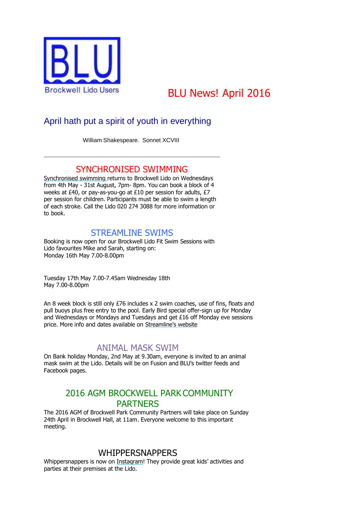

# BLU News! April 2016

# April hath put a spirit of youth in everything

William Shakespeare. Sonnet XCVIII

# SYNCHRONISED SWIMMING

[Synchronised swimming r](https://gallery.mailchimp.com/627b2a3772ff87b42d4e64a5d/images/fa19f856-7643-4b67-8a8b-ac847123fb61.jpg)eturns to Brockwell Lido on Wednesdays from 4th May - 31st August, 7pm- 8pm. You can book a block of 4 weeks at £40, or pay-as-you-go at £10 per session for adults, £7 per session for children. Participants must be able to swim a length of each stroke. Call the Lido 020 274 3088 for more information or to book.

# STREAMLINE SWIMS

Booking is now open for our Brockwell Lido Fit Swim Sessions with Lido favourites Mike and Sarah, starting on: Monday 16th May 7.00-8.00pm

Tuesday 17th May 7.00-7.45am Wednesday 18th May 7.00-8.00pm

An 8 week block is still only £76 includes x 2 swim coaches, use of fins, floats and pull buoys plus free entry to the pool. Early Bird special offer-sign up for Monday and Wednesdays or Mondays and Tuesdays and get £16 off Monday eve sessions price. More info and dates available on [Streamline's website](http://www.streamlineswims.com/coaching/)

# ANIMAL MASK SWIM

On Bank holiday Monday, 2nd May at 9.30am, everyone is invited to an animal mask swim at the Lido. Details will be on Fusion and BLU's twitter feeds and Facebook pages.

# 2016 AGM BROCKWELL PARK COMMUNITY PARTNERS

The 2016 AGM of Brockwell Park Community Partners will take place on Sunday 24th April in Brockwell Hall, at 11am. Everyone welcome to this important meeting.

# WHIPPERSNAPPERS

Whippersnappers is now on [Instagram](https://www.instagram.com/whippersnappersuk/)! They provide great kids' activities and parties at their premises at the Lido.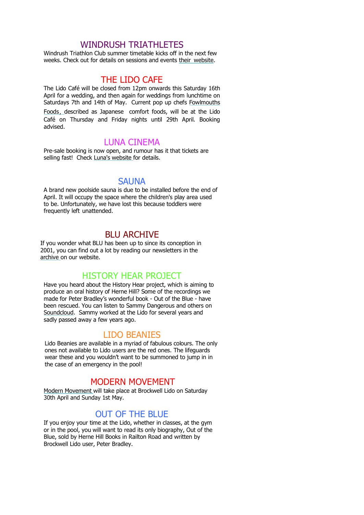# WINDRUSH TRIATHLETES

Windrush Triathlon Club summer timetable kicks off in the next few weeks. Check out for details on sessions and events their [website.](http://www.windrushtri.co.uk/page/training)

### THE LIDO CAFE

The Lido Café will be closed from 12pm onwards this Saturday 16th April for a wedding, and then again for weddings from lunchtime on Saturdays 7th and 14th of May. Current pop up chefs [Fowlmouths](http://www.fowlmouths.co.uk/)  [Foods](http://www.fowlmouths.co.uk/), described as Japanese comfort foods, will be at the Lido Café on Thursday and Friday nights until 29th April. Booking advised.

#### LUNA CINEMA

Pre-sale booking is now open, and rumour has it that tickets are selling fast! Check [Luna's website f](http://www.thelunacinema.com/)or details.

#### **SAUNA**

A brand new poolside sauna is due to be installed before the end of April. It will occupy the space where the children's play area used to be. Unfortunately, we have lost this because toddlers were frequently left unattended.

# BLU ARCHIVE

If you wonder what BLU has been up to since its conception in 2001, you can find out a lot by reading our newsletters in the [archive o](http://www.brockwelllido.com/2011-2001-newsletters/)n our website.

## HISTORY HEAR PROJECT

Have you heard about the History Hear project, which is aiming to produce an oral history of Herne Hill? Some of the recordings we made for Peter Bradley's wonderful book - Out of the Blue - have been rescued. You can listen to Sammy Dangerous and others on [Soundcloud.](https://soundcloud.com/herne-hill-history-hear) Sammy worked at the Lido for several years and sadly passed away a few years ago.

#### LIDO BEANIES

Lido Beanies are available in a myriad of fabulous colours. The only ones not available to Lido users are the red ones. The lifeguards wear these and you wouldn't want to be summoned to jump in in the case of an emergency in the pool!

#### MODERN MOVEMENT

[Modern Movement w](https://www.fusion-lifestyle.com/centres/Brockwell_Lido/news/001_THE_MODERN_MOVEMENT_BROCKWELL_LIDO_30_4_2016_1_5_2016)ill take place at Brockwell Lido on Saturday 30th April and Sunday 1st May.

#### OUT OF THE BLUE

If you enjoy your time at the Lido, whether in classes, at the gym or in the pool, you will want to read its only biography, Out of the Blue, sold by Herne Hill Books in Railton Road and written by Brockwell Lido user, Peter Bradley.